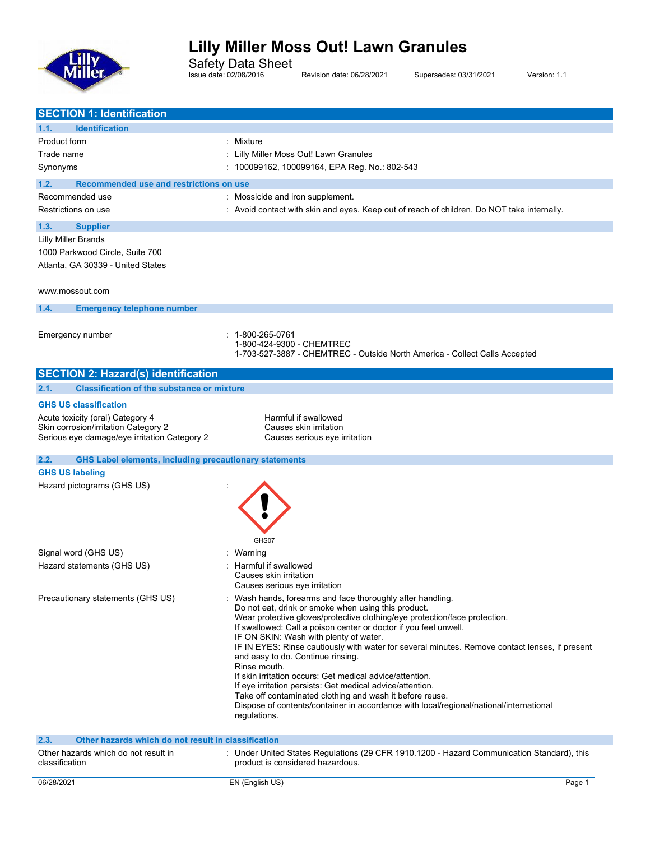

Safety Data Sheet

Issue date: 02/08/2016 Revision date: 06/28/2021 Supersedes: 03/31/2021 Version: 1.1

| <b>SECTION 1: Identification</b>                                      |                                                                                                                                                    |
|-----------------------------------------------------------------------|----------------------------------------------------------------------------------------------------------------------------------------------------|
| <b>Identification</b><br>1.1.                                         |                                                                                                                                                    |
| Product form                                                          | : Mixture                                                                                                                                          |
| Trade name                                                            | Lilly Miller Moss Out! Lawn Granules                                                                                                               |
| Synonyms                                                              | : 100099162, 100099164, EPA Reg. No.: 802-543                                                                                                      |
| 1.2.<br>Recommended use and restrictions on use                       |                                                                                                                                                    |
| Recommended use                                                       | : Mossicide and iron supplement.                                                                                                                   |
| Restrictions on use                                                   | : Avoid contact with skin and eyes. Keep out of reach of children. Do NOT take internally.                                                         |
|                                                                       |                                                                                                                                                    |
| 1.3.<br><b>Supplier</b>                                               |                                                                                                                                                    |
| <b>Lilly Miller Brands</b>                                            |                                                                                                                                                    |
| 1000 Parkwood Circle, Suite 700                                       |                                                                                                                                                    |
| Atlanta, GA 30339 - United States                                     |                                                                                                                                                    |
|                                                                       |                                                                                                                                                    |
| www.mossout.com                                                       |                                                                                                                                                    |
| 1.4.<br><b>Emergency telephone number</b>                             |                                                                                                                                                    |
|                                                                       |                                                                                                                                                    |
| Emergency number                                                      | 1-800-265-0761<br>1-800-424-9300 - CHEMTREC                                                                                                        |
|                                                                       | 1-703-527-3887 - CHEMTREC - Outside North America - Collect Calls Accepted                                                                         |
|                                                                       |                                                                                                                                                    |
| <b>SECTION 2: Hazard(s) identification</b>                            |                                                                                                                                                    |
| <b>Classification of the substance or mixture</b><br>2.1.             |                                                                                                                                                    |
| <b>GHS US classification</b>                                          |                                                                                                                                                    |
| Acute toxicity (oral) Category 4                                      | Harmful if swallowed                                                                                                                               |
| Skin corrosion/irritation Category 2                                  | Causes skin irritation                                                                                                                             |
| Serious eye damage/eye irritation Category 2                          | Causes serious eye irritation                                                                                                                      |
|                                                                       |                                                                                                                                                    |
| 2.2.<br><b>GHS Label elements, including precautionary statements</b> |                                                                                                                                                    |
| <b>GHS US labeling</b>                                                |                                                                                                                                                    |
| Hazard pictograms (GHS US)                                            |                                                                                                                                                    |
|                                                                       |                                                                                                                                                    |
|                                                                       |                                                                                                                                                    |
|                                                                       |                                                                                                                                                    |
|                                                                       | GHS07                                                                                                                                              |
| Signal word (GHS US)                                                  | : Warning                                                                                                                                          |
| Hazard statements (GHS US)                                            | Harmful if swallowed                                                                                                                               |
|                                                                       | Causes skin irritation                                                                                                                             |
|                                                                       | Causes serious eye irritation                                                                                                                      |
| Precautionary statements (GHS US)                                     | : Wash hands, forearms and face thoroughly after handling.                                                                                         |
|                                                                       | Do not eat, drink or smoke when using this product.<br>Wear protective gloves/protective clothing/eye protection/face protection.                  |
|                                                                       | If swallowed: Call a poison center or doctor if you feel unwell.                                                                                   |
|                                                                       | IF ON SKIN: Wash with plenty of water.                                                                                                             |
|                                                                       | IF IN EYES: Rinse cautiously with water for several minutes. Remove contact lenses, if present<br>and easy to do. Continue rinsing.                |
|                                                                       | Rinse mouth.                                                                                                                                       |
|                                                                       | If skin irritation occurs: Get medical advice/attention.                                                                                           |
|                                                                       | If eye irritation persists: Get medical advice/attention.                                                                                          |
|                                                                       | Take off contaminated clothing and wash it before reuse.<br>Dispose of contents/container in accordance with local/regional/national/international |
|                                                                       | regulations.                                                                                                                                       |
|                                                                       |                                                                                                                                                    |
| 2.3.<br>Other hazards which do not result in classification           |                                                                                                                                                    |
| Other hazards which do not result in<br>classification                | : Under United States Regulations (29 CFR 1910.1200 - Hazard Communication Standard), this<br>product is considered hazardous.                     |
| 06/28/2021                                                            | EN (English US)<br>Page 1                                                                                                                          |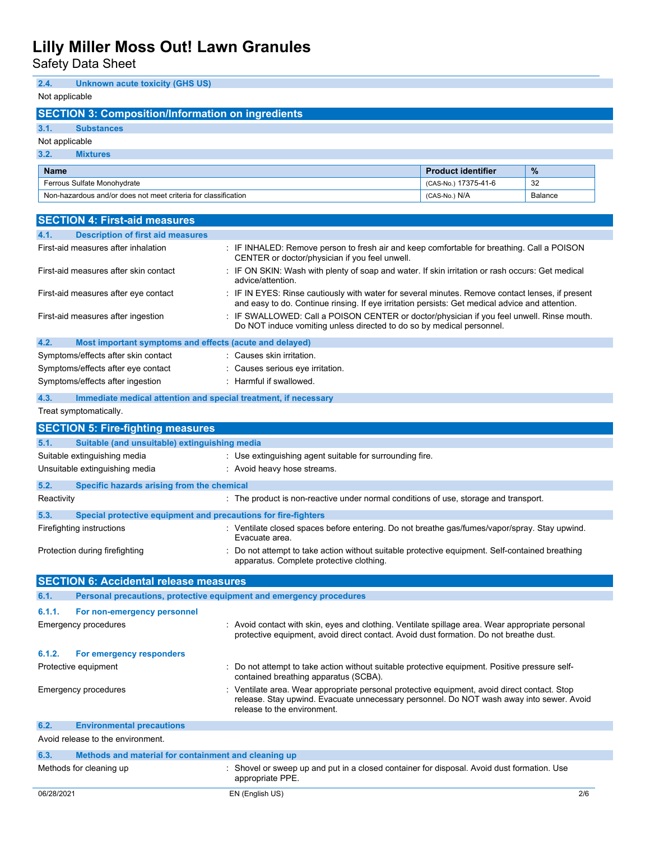Safety Data Sheet

**2.4. Unknown acute toxicity (GHS US)**

Not applicable **SECTION 3: Composition/Information on ingredients 3.1. Substances** Not applicable **3.2. Mixtures Name Product identifier %** Ferrous Sulfate Monohydrate (CAS-No.) 17375-41-6 32 Non-hazardous and/or does not meet criteria for classification (CAS-No.) N/A CAS-No.) N/A Balance **SECTION 4: First-aid measures 4.1. Description of first aid measures** First-aid measures after inhalation : IF INHALED: Remove person to fresh air and keep comfortable for breathing. Call a POISON CENTER or doctor/physician if you feel unwell. First-aid measures after skin contact : IF ON SKIN: Wash with plenty of soap and water. If skin irritation or rash occurs: Get medical advice/attention. First-aid measures after eye contact : IF IN EYES: Rinse cautiously with water for several minutes. Remove contact lenses, if present and easy to do. Continue rinsing. If eye irritation persists: Get medical advice and attention. First-aid measures after ingestion : IF SWALLOWED: Call a POISON CENTER or doctor/physician if you feel unwell. Rinse mouth. Do NOT induce vomiting unless directed to do so by medical personnel. **4.2. Most important symptoms and effects (acute and delayed)** Symptoms/effects after skin contact : Causes skin irritation. Symptoms/effects after eye contact : Causes serious eye irritation. Symptoms/effects after ingestion : Harmful if swallowed. **4.3. Immediate medical attention and special treatment, if necessary** Treat symptomatically. **SECTION 5: Fire-fighting measures 5.1. Suitable (and unsuitable) extinguishing media** Suitable extinguishing media : Use extinguishing agent suitable for surrounding fire. Unsuitable extinguishing media : Avoid heavy hose streams. **5.2. Specific hazards arising from the chemical** Reactivity **Example 20** The product is non-reactive under normal conditions of use, storage and transport. **5.3. Special protective equipment and precautions for fire-fighters** Firefighting instructions : Ventilate closed spaces before entering. Do not breathe gas/fumes/vapor/spray. Stay upwind. Evacuate area. Protection during firefighting example of the not attempt to take action without suitable protective equipment. Self-contained breathing apparatus. Complete protective clothing. **SECTION 6: Accidental release measures 6.1. Personal precautions, protective equipment and emergency procedures 6.1.1. For non-emergency personnel** Emergency procedures : Avoid contact with skin, eyes and clothing. Ventilate spillage area. Wear appropriate personal protective equipment, avoid direct contact. Avoid dust formation. Do not breathe dust. **6.1.2. For emergency responders** Protective equipment **interest in the CO** not attempt to take action without suitable protective equipment. Positive pressure selfcontained breathing apparatus (SCBA). Emergency procedures : Ventilate area. Wear appropriate personal protective equipment, avoid direct contact. Stop release. Stay upwind. Evacuate unnecessary personnel. Do NOT wash away into sewer. Avoid release to the environment. **6.2. Environmental precautions** Avoid release to the environment. **6.3. Methods and material for containment and cleaning up** Methods for cleaning up example is shovel or sweep up and put in a closed container for disposal. Avoid dust formation. Use appropriate PPE.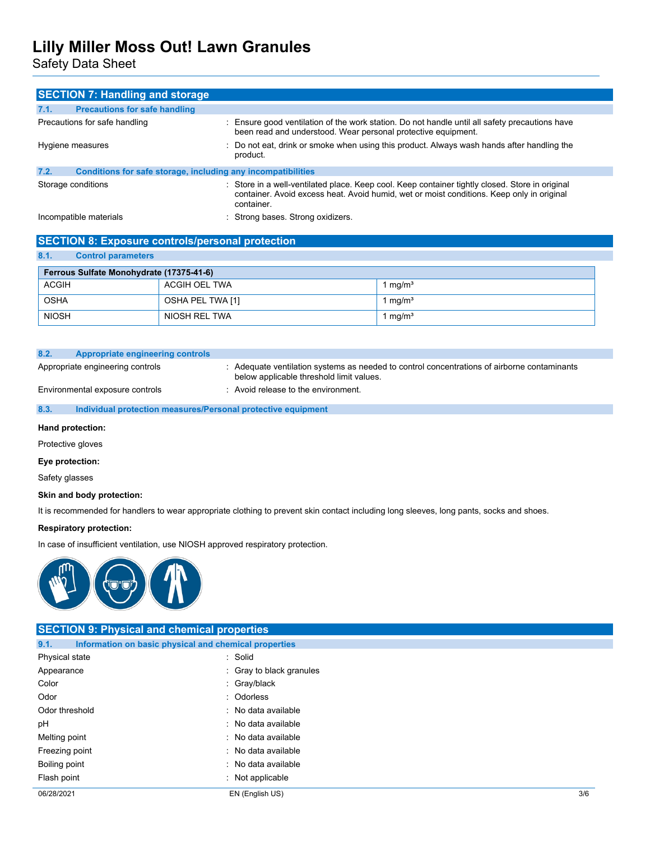Safety Data Sheet

|      | <b>SECTION 7: Handling and storage</b>                       |                                                                                                                                                                                                            |
|------|--------------------------------------------------------------|------------------------------------------------------------------------------------------------------------------------------------------------------------------------------------------------------------|
| 7.1. | <b>Precautions for safe handling</b>                         |                                                                                                                                                                                                            |
|      | Precautions for safe handling                                | : Ensure good ventilation of the work station. Do not handle until all safety precautions have<br>been read and understood. Wear personal protective equipment.                                            |
|      | Hygiene measures                                             | : Do not eat, drink or smoke when using this product. Always wash hands after handling the<br>product.                                                                                                     |
| 7.2. | Conditions for safe storage, including any incompatibilities |                                                                                                                                                                                                            |
|      | Storage conditions                                           | : Store in a well-ventilated place. Keep cool. Keep container tightly closed. Store in original<br>container. Avoid excess heat. Avoid humid, wet or moist conditions. Keep only in original<br>container. |
|      | Incompatible materials                                       | : Strong bases. Strong oxidizers.                                                                                                                                                                          |

## **SECTION 8: Exposure controls/personal protection 8.1. Control parameters**

| Ferrous Sulfate Monohydrate (17375-41-6) |                  |                     |
|------------------------------------------|------------------|---------------------|
| <b>ACGIH</b>                             | ACGIH OEL TWA    | 1 mg/m <sup>3</sup> |
| OSHA                                     | OSHA PEL TWA [1] | 1 mg/m <sup>3</sup> |
| <b>NIOSH</b>                             | NIOSH REL TWA    | 1 mg/m <sup>3</sup> |

| 8.2. | <b>Appropriate engineering controls</b> |                                                                                                                                         |
|------|-----------------------------------------|-----------------------------------------------------------------------------------------------------------------------------------------|
|      | Appropriate engineering controls        | : Adequate ventilation systems as needed to control concentrations of airborne contaminants<br>below applicable threshold limit values. |

Environmental exposure controls : Avoid release to the environment.

### **8.3. Individual protection measures/Personal protective equipment**

### **Hand protection:**

Protective gloves

#### **Eye protection:**

Safety glasses

#### **Skin and body protection:**

It is recommended for handlers to wear appropriate clothing to prevent skin contact including long sleeves, long pants, socks and shoes.

#### **Respiratory protection:**

In case of insufficient ventilation, use NIOSH approved respiratory protection.



| <b>SECTION 9: Physical and chemical properties</b> |                                                       |     |  |
|----------------------------------------------------|-------------------------------------------------------|-----|--|
| 9.1.                                               | Information on basic physical and chemical properties |     |  |
| Physical state                                     | : Solid                                               |     |  |
| Appearance                                         | : Gray to black granules                              |     |  |
| Color                                              | : Gray/black                                          |     |  |
| Odor                                               | : Odorless                                            |     |  |
| Odor threshold                                     | : No data available                                   |     |  |
| рH                                                 | : No data available                                   |     |  |
| Melting point                                      | : No data available                                   |     |  |
| Freezing point                                     | : No data available                                   |     |  |
| Boiling point                                      | : No data available                                   |     |  |
| Flash point                                        | : Not applicable                                      |     |  |
| 06/28/2021                                         | EN (English US)                                       | 3/6 |  |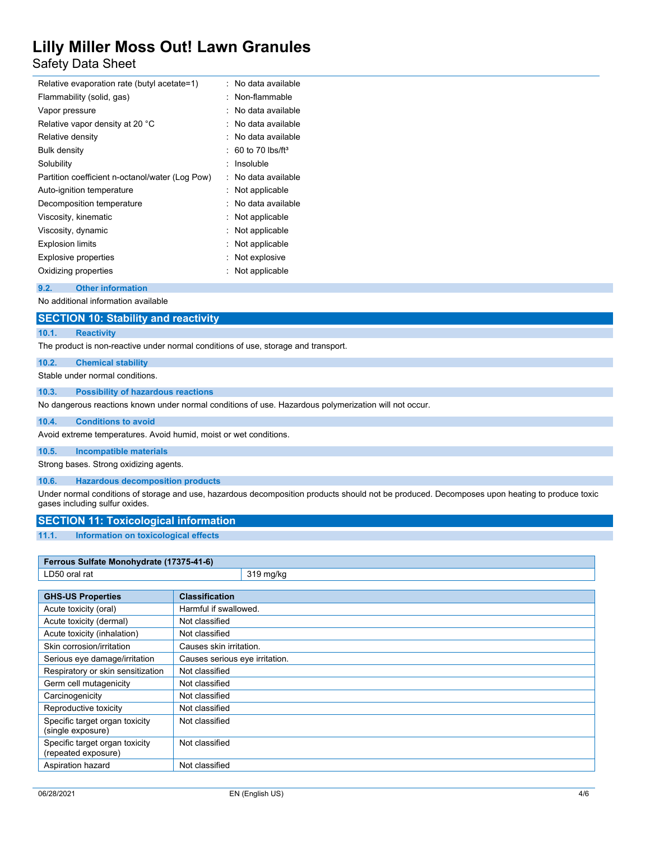# Safety Data Sheet

| Relative evaporation rate (butyl acetate=1)     | : No data available              |
|-------------------------------------------------|----------------------------------|
| Flammability (solid, gas)                       | : Non-flammable                  |
| Vapor pressure                                  | No data available                |
| Relative vapor density at 20 °C                 | : No data available              |
| Relative density                                | : No data available              |
| <b>Bulk density</b>                             | $: 60$ to 70 lbs/ft <sup>3</sup> |
| Solubility                                      | Insoluble                        |
| Partition coefficient n-octanol/water (Log Pow) | : No data available              |
| Auto-ignition temperature                       | : Not applicable                 |
| Decomposition temperature                       | : No data available              |
| Viscosity, kinematic                            | : Not applicable                 |
| Viscosity, dynamic                              | : Not applicable                 |
| <b>Explosion limits</b>                         | : Not applicable                 |
| <b>Explosive properties</b>                     | : Not explosive                  |
| Oxidizing properties                            | Not applicable                   |
|                                                 |                                  |

#### **9.2. Other information**

No additional information available

## **SECTION 10: Stability and reactivity**

#### **10.1. Reactivity**

The product is non-reactive under normal conditions of use, storage and transport.

### **10.2. Chemical stability**

Stable under normal conditions.

#### **10.3. Possibility of hazardous reactions**

No dangerous reactions known under normal conditions of use. Hazardous polymerization will not occur.

#### **10.4. Conditions to avoid**

Avoid extreme temperatures. Avoid humid, moist or wet conditions.

### **10.5. Incompatible materials**

Strong bases. Strong oxidizing agents.

#### **10.6. Hazardous decomposition products**

Under normal conditions of storage and use, hazardous decomposition products should not be produced. Decomposes upon heating to produce toxic gases including sulfur oxides.

### **SECTION 11: Toxicological information**

#### **11.1. Information on toxicological effects**

| Ferrous Sulfate Monohydrate (17375-41-6)              |                                |           |
|-------------------------------------------------------|--------------------------------|-----------|
| LD50 oral rat                                         |                                | 319 mg/kg |
|                                                       |                                |           |
| <b>GHS-US Properties</b>                              | <b>Classification</b>          |           |
| Acute toxicity (oral)                                 | Harmful if swallowed.          |           |
| Acute toxicity (dermal)                               | Not classified                 |           |
| Acute toxicity (inhalation)                           | Not classified                 |           |
| Skin corrosion/irritation                             | Causes skin irritation.        |           |
| Serious eye damage/irritation                         | Causes serious eye irritation. |           |
| Respiratory or skin sensitization                     | Not classified                 |           |
| Germ cell mutagenicity                                | Not classified                 |           |
| Carcinogenicity                                       | Not classified                 |           |
| Reproductive toxicity                                 | Not classified                 |           |
| Specific target organ toxicity<br>(single exposure)   | Not classified                 |           |
| Specific target organ toxicity<br>(repeated exposure) | Not classified                 |           |
| Aspiration hazard                                     | Not classified                 |           |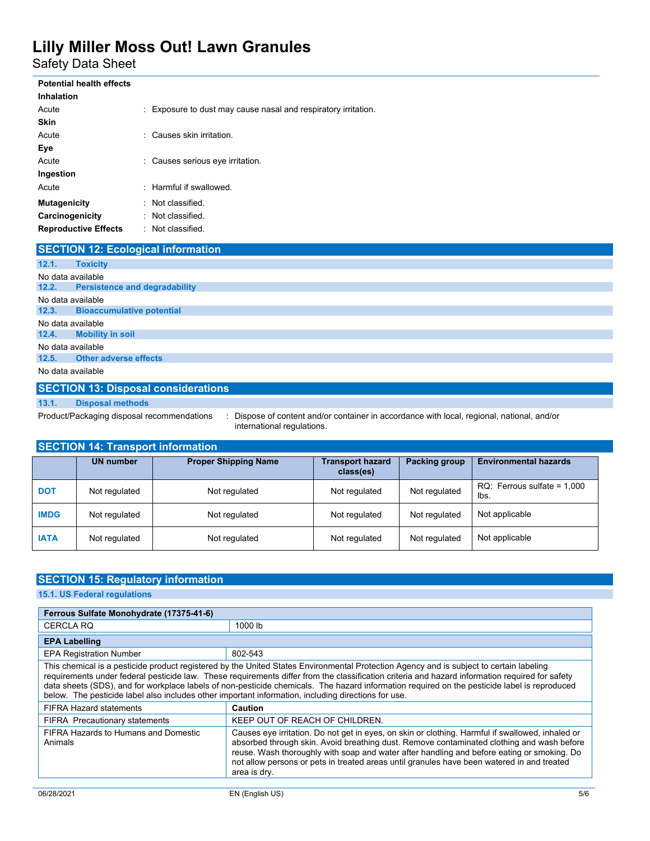Safety Data Sheet

| <b>Potential health effects</b> |                                                                |
|---------------------------------|----------------------------------------------------------------|
| <b>Inhalation</b>               |                                                                |
| Acute                           | : Exposure to dust may cause nasal and respiratory irritation. |
| <b>Skin</b>                     |                                                                |
| Acute                           | : Causes skin irritation.                                      |
| Eye                             |                                                                |
| Acute                           | : Causes serious eye irritation.                               |
| Ingestion                       |                                                                |
| Acute                           | : Harmful if swallowed.                                        |
| <b>Mutagenicity</b>             | Not classified.                                                |
| Carcinogenicity                 | Not classified.                                                |
| <b>Reproductive Effects</b>     | : Not classified.                                              |

# **SECTION 12: Ecological information**

| 12.1.             | <b>Toxicity</b>                     |  |
|-------------------|-------------------------------------|--|
| No data available |                                     |  |
|                   | 12.2. Persistence and degradability |  |
| No data available |                                     |  |
|                   | 12.3. Bioaccumulative potential     |  |
| No data available |                                     |  |
|                   | 12.4. Mobility in soil              |  |
| No data available |                                     |  |
|                   | 12.5. Other adverse effects         |  |
| No data available |                                     |  |

## **SECTION 13: Disposal considerations**

**13.1. Disposal methods**

Product/Packaging disposal recommendations : Dispose of content and/or container in accordance with local, regional, national, and/or international regulations.

| <b>SECTION 14: Transport information</b> |                  |                             |                                      |               |                                        |
|------------------------------------------|------------------|-----------------------------|--------------------------------------|---------------|----------------------------------------|
|                                          | <b>UN number</b> | <b>Proper Shipping Name</b> | <b>Transport hazard</b><br>class(es) | Packing group | <b>Environmental hazards</b>           |
| <b>DOT</b>                               | Not regulated    | Not regulated               | Not regulated                        | Not regulated | $RQ$ : Ferrous sulfate = 1,000<br>lbs. |
| <b>IMDG</b>                              | Not regulated    | Not regulated               | Not regulated                        | Not regulated | Not applicable                         |
| <b>IATA</b>                              | Not regulated    | Not regulated               | Not regulated                        | Not regulated | Not applicable                         |

## **SECTION 15: Regulatory information**

**15.1. US Federal regulations**

| Ferrous Sulfate Monohydrate (17375-41-6)                                                                                                                                                                                                                                                                                                                                                                                                                                                                                                          |                                                                                                                                                                                                                                                                                                                                                                                                           |  |
|---------------------------------------------------------------------------------------------------------------------------------------------------------------------------------------------------------------------------------------------------------------------------------------------------------------------------------------------------------------------------------------------------------------------------------------------------------------------------------------------------------------------------------------------------|-----------------------------------------------------------------------------------------------------------------------------------------------------------------------------------------------------------------------------------------------------------------------------------------------------------------------------------------------------------------------------------------------------------|--|
| <b>CERCLA RQ</b>                                                                                                                                                                                                                                                                                                                                                                                                                                                                                                                                  | 1000 lb                                                                                                                                                                                                                                                                                                                                                                                                   |  |
| <b>EPA Labelling</b>                                                                                                                                                                                                                                                                                                                                                                                                                                                                                                                              |                                                                                                                                                                                                                                                                                                                                                                                                           |  |
| <b>EPA Registration Number</b>                                                                                                                                                                                                                                                                                                                                                                                                                                                                                                                    | 802-543                                                                                                                                                                                                                                                                                                                                                                                                   |  |
| This chemical is a pesticide product registered by the United States Environmental Protection Agency and is subject to certain labeling<br>requirements under federal pesticide law. These requirements differ from the classification criteria and hazard information required for safety<br>data sheets (SDS), and for workplace labels of non-pesticide chemicals. The hazard information required on the pesticide label is reproduced<br>below. The pesticide label also includes other important information, including directions for use. |                                                                                                                                                                                                                                                                                                                                                                                                           |  |
| <b>FIFRA Hazard statements</b>                                                                                                                                                                                                                                                                                                                                                                                                                                                                                                                    | Caution                                                                                                                                                                                                                                                                                                                                                                                                   |  |
| <b>FIFRA Precautionary statements</b>                                                                                                                                                                                                                                                                                                                                                                                                                                                                                                             | KEEP OUT OF REACH OF CHILDREN.                                                                                                                                                                                                                                                                                                                                                                            |  |
| FIFRA Hazards to Humans and Domestic<br>Animals                                                                                                                                                                                                                                                                                                                                                                                                                                                                                                   | Causes eye irritation. Do not get in eyes, on skin or clothing. Harmful if swallowed, inhaled or<br>absorbed through skin. Avoid breathing dust. Remove contaminated clothing and wash before<br>reuse. Wash thoroughly with soap and water after handling and before eating or smoking. Do<br>not allow persons or pets in treated areas until granules have been watered in and treated<br>area is dry. |  |